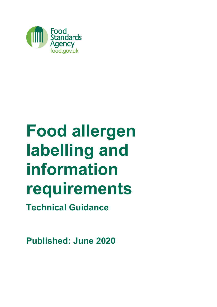

# **Food allergen labelling and information requirements**

**Technical Guidance**

**Published: June 2020**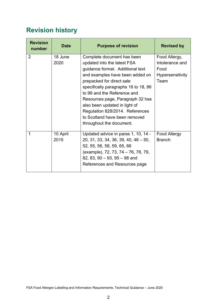# <span id="page-1-0"></span>**Revision history**

| <b>Revision</b><br>number | <b>Date</b>      | <b>Purpose of revision</b>                                                                                                                                                                                                                                                                                                                                                                                | <b>Revised by</b>                                                           |  |  |  |
|---------------------------|------------------|-----------------------------------------------------------------------------------------------------------------------------------------------------------------------------------------------------------------------------------------------------------------------------------------------------------------------------------------------------------------------------------------------------------|-----------------------------------------------------------------------------|--|--|--|
| 2                         | 18 June<br>2020  | Complete document has been<br>updated into the latest FSA<br>guidance format. Additional text<br>and examples have been added on<br>prepacked for direct sale<br>specifically paragraphs 16 to 18, 86<br>to 99 and the Reference and<br>Resources page, Paragraph 32 has<br>also been updated in light of<br>Regulation 828/2014. References<br>to Scotland have been removed<br>throughout the document. | Food Allergy,<br>Intolerance and<br>Food<br><b>Hypersensitivity</b><br>Team |  |  |  |
| 1                         | 10 April<br>2015 | Updated advice in paras 1, 10, 14 -<br>$20, 31, 33, 34, 36, 39, 40, 48 - 50,$<br>52, 55, 56, 58, 59, 65, 66<br>(example), 72, 73, 74 – 76, 78, 79,<br>82, 83, 90 $-$ 93, 95 $-$ 98 and<br>References and Resources page                                                                                                                                                                                   | <b>Food Allergy</b><br><b>Branch</b>                                        |  |  |  |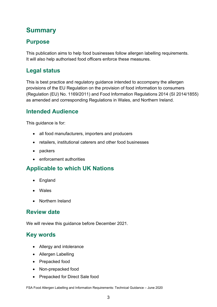# <span id="page-2-0"></span>**Summary**

## **Purpose**

This publication aims to help food businesses follow allergen labelling requirements. It will also help authorised food officers enforce these measures.

## **Legal status**

This is best practice and regulatory guidance intended to accompany the allergen provisions of the EU Regulation on the provision of food information to consumers (Regulation (EU) No. 1169/2011) and Food Information Regulations 2014 (SI 2014/1855) as amended and corresponding Regulations in Wales, and Northern Ireland.

## **Intended Audience**

This guidance is for:

- all food manufacturers, importers and producers
- retailers, institutional caterers and other food businesses
- packers
- enforcement authorities

## **Applicable to which UK Nations**

- England
- Wales
- Northern Ireland

## **Review date**

We will review this guidance before December 2021.

## **Key words**

- Allergy and intolerance
- Allergen Labelling
- Prepacked food
- Non-prepacked food
- Prepacked for Direct Sale food

FSA Food Allergen Labelling and Information Requirements: Technical Guidance – June 2020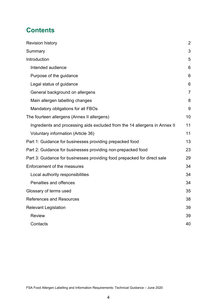## **Contents**

| <b>Revision history</b>                                                    | 2              |
|----------------------------------------------------------------------------|----------------|
| Summary                                                                    | 3              |
| Introduction                                                               | 5              |
| Intended audience                                                          | 6              |
| Purpose of the guidance                                                    | 6              |
| Legal status of guidance                                                   | 6              |
| General background on allergens                                            | $\overline{7}$ |
| Main allergen labelling changes                                            | 8              |
| Mandatory obligations for all FBOs                                         | 9              |
| The fourteen allergens (Annex II allergens)                                | 10             |
| Ingredients and processing aids excluded from the 14 allergens in Annex II | 11             |
| Voluntary information (Article 36)                                         | 11             |
| Part 1: Guidance for businesses providing prepacked food                   | 13             |
| Part 2: Guidance for businesses providing non-prepacked food               | 23             |
| Part 3: Guidance for businesses providing food prepacked for direct sale   | 29             |
| Enforcement of the measures                                                | 34             |
| Local authority responsibilities                                           | 34             |
| Penalties and offences                                                     | 34             |
| Glossary of terms used                                                     | 35             |
| <b>References and Resources</b>                                            | 38             |
| <b>Relevant Legislation</b>                                                | 39             |
| <b>Review</b>                                                              | 39             |
| Contacts                                                                   | 40             |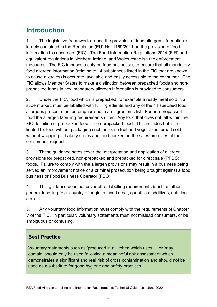## <span id="page-4-0"></span>**Introduction**

1. The legislative framework around the provision of food allergen information is largely contained in the Regulation (EU) No. 1169/2011 on the provision of food information to consumers (FIC). The Food Information Regulations 2014 (FIR) and equivalent regulations in Northern Ireland, and Wales establish the enforcement measures. The FIC imposes a duty on food businesses to ensure that all mandatory food allergen information (relating to 14 substances listed in the FIC that are known to cause allergies) is accurate, available and easily accessible to the consumer. The FIC allows Member States to make a distinction between prepacked foods and nonprepacked foods in how mandatory allergen information is provided to consumers.

2. Under the FIC, food which is prepacked, for example a ready meal sold in a supermarket, must be labelled with full ingredients and any of the 14 specified food allergens present must be emphasised in an ingredients list. For non-prepacked food the allergen labelling requirements differ. Any food that does not fall within the FIC definition of prepacked food is non-prepacked food. This includes but is not limited to: food without packaging such as loose fruit and vegetables, bread sold without wrapping in bakery shops and food packed on the sales premises at the consumer's request.

3. These guidance notes cover the interpretation and application of allergen provisions for prepacked, non-prepacked and prepacked for direct sale (PPDS) foods. Failure to comply with the allergen provisions may result in a business being served an improvement notice or a criminal prosecution being brought against a food business or Food Business Operator (FBO).

4. This guidance does not cover other labelling requirements (such as other general labelling (e.g. country of origin, minced meat, quantities, additives, nutrition etc.)

5. Any voluntary food information must comply with the requirements of Chapter V of the FIC. In particular, voluntary statements must not mislead consumers, or be ambiguous or confusing.

## **Best Practice**

Voluntary statements such as 'produced in a kitchen which uses…' or 'may contain' should only be used following a meaningful risk assessment which demonstrates a significant and real risk of cross contamination and should not be used as a substitute for good hygiene and safety practices.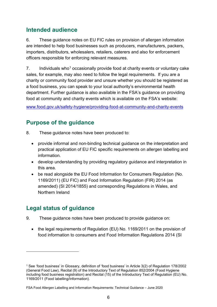## <span id="page-5-0"></span>**Intended audience**

6. These guidance notes on EU FIC rules on provision of allergen information are intended to help food businesses such as producers, manufacturers, packers, importers, distributors, wholesalers, retailers, caterers and also for enforcement officers responsible for enforcing relevant measures.

7. Individuals who<sup>[1](#page-5-3)</sup> occasionally provide food at charity events or voluntary cake sales, for example, may also need to follow the legal requirements. If you are a charity or community food provider and unsure whether you should be registered as a food business, you can speak to your local authority's environmental health department. Further guidance is also available in the FSA's guidance on providing food at community and charity events which is available on the FSA's website:

[www.food.gov.uk/safety-hygiene/providing-food-at-community-and-charity-events](http://www.food.gov.uk/safety-hygiene/providing-food-at-community-and-charity-events)

## <span id="page-5-1"></span>**Purpose of the guidance**

- 8. These guidance notes have been produced to:
	- provide informal and non-binding technical guidance on the interpretation and practical application of EU FIC specific requirements on allergen labelling and information.
	- develop understanding by providing regulatory guidance and interpretation in this area.
	- be read alongside the EU Food Information for Consumers Regulation (No. 1169/2011) (EU FIC) and Food Information Regulation (FIR) 2014 (as amended) (SI 2014/1855) and corresponding Regulations in Wales, and Northern Ireland

## <span id="page-5-2"></span>**Legal status of guidance**

- 9. These guidance notes have been produced to provide guidance on:
	- the legal requirements of Regulation (EU) No. 1169/2011 on the provision of food information to consumers and Food Information Regulations 2014 (SI

<span id="page-5-3"></span><sup>1</sup> See 'food business' in Glossary, definition of 'food business' in Article 3(2) of Regulation 178/2002 (General Food Law), Recital (9) of the Introductory Text of Regulation 852/2004 (Food Hygiene including food business registration) and Recital (15) of the Introductory Text of Regulation (EU) No. 1169/2011 (Food labelling/Information).

FSA Food Allergen Labelling and Information Requirements: Technical Guidance – June 2020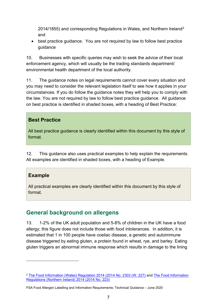2014/1855) and corresponding Regulations in Wales, and Northern Ireland[2](#page-6-1) and

• best practice guidance. You are not required by law to follow best practice guidance

10. Businesses with specific queries may wish to seek the advice of their local enforcement agency, which will usually be the trading standards department/ environmental health department of the local authority.

11. The guidance notes on legal requirements cannot cover every situation and you may need to consider the relevant legislation itself to see how it applies in your circumstances. If you do follow the guidance notes they will help you to comply with the law. You are not required by law to follow best practice guidance. All guidance on best practice is identified in shaded boxes, with a heading of Best Practice:

#### **Best Practice**

All best practice guidance is clearly identified within this document by this style of format.

12. This guidance also uses practical examples to help explain the requirements. All examples are identified in shaded boxes, with a heading of Example.

#### **Example**

All practical examples are clearly identified within this document by this style of format.

## <span id="page-6-0"></span>**General background on allergens**

13. 1-2% of the UK adult population and 5-8% of children in the UK have a food allergy; this figure does not include those with food intolerances. In addition, it is estimated that 1 in 100 people have coeliac disease, a genetic and autoimmune disease triggered by eating gluten, a protein found in wheat, rye, and barley. Eating gluten triggers an abnormal immune response which results in damage to the lining

<span id="page-6-1"></span><sup>2</sup> [The Food Information \(Wales\) Regulation 2014 \(2014 No. 2303 \(W. 227\)](http://www.legislation.gov.uk/wsi/2014/2303/pdfs/wsi_20142303_mi.pdf) and [The Food Information](http://www.legislation.gov.uk/nisr/2014/223/pdfs/nisr_20140223_en.pdf)  [Regulations \(Northern Ireland\) 2014 \(2014 No. 223\)](http://www.legislation.gov.uk/nisr/2014/223/pdfs/nisr_20140223_en.pdf)

FSA Food Allergen Labelling and Information Requirements: Technical Guidance – June 2020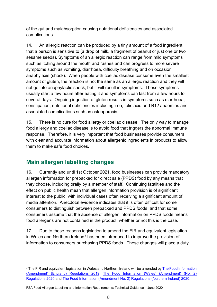of the gut and malabsorption causing nutritional deficiencies and associated complications.

14. An allergic reaction can be produced by a tiny amount of a food ingredient that a person is sensitive to (a drop of milk, a fragment of peanut or just one or two sesame seeds). Symptoms of an allergic reaction can range from mild symptoms such as itching around the mouth and rashes and can progress to more severe symptoms such as vomiting, diarrhoea, difficulty breathing and on occasion anaphylaxis (shock). When people with coeliac disease consume even the smallest amount of gluten, the reaction is not the same as an allergic reaction and they will not go into anaphylactic shock, but it will result in symptoms. These symptoms usually start a few hours after eating it and symptoms can last from a few hours to several days. Ongoing ingestion of gluten results in symptoms such as diarrhoea, constipation, nutritional deficiencies including iron, folic acid and B12 anaemias and associated complications such as osteoporosis.

15. There is no cure for food allergy or coeliac disease. The only way to manage food allergy and coeliac disease is to avoid food that triggers the abnormal immune response. Therefore, it is very important that food businesses provide consumers with clear and accurate information about allergenic ingredients in products to allow them to make safe food choices.

## <span id="page-7-0"></span>**Main allergen labelling changes**

16. Currently and until 1st October 2021, food businesses can provide mandatory allergen information for prepacked for direct sale (PPDS) food by any means that they choose, including orally by a member of staff. Continuing fatalities and the effect on public health mean that allergen information provision is of significant interest to the public, with individual cases often receiving a significant amount of media attention. Anecdotal evidence indicates that it is often difficult for some consumers to distinguish between prepacked and PPDS foods, and that some consumers assume that the absence of allergen information on PPDS foods means food allergens are not contained in the product, whether or not this is the case.

17. Due to these reasons legislation to amend the FIR and equivalent legislation in Wales and Northern Ireland[3](#page-7-1) has been introduced to improve the provision of information to consumers purchasing PPDS foods. These changes will place a duty

<span id="page-7-1"></span><sup>&</sup>lt;sup>3</sup> The FIR and equivalent legislation in Wales and Northern Ireland will be amended by **The Food Information** [\(Amendment\) \(England\) Regulations 2019,](http://www.legislation.gov.uk/uksi/2019/1218/made/data.pdf) [The Food Information \(Wales\) \(Amendment\) \(No. 2\)](http://www.legislation.gov.uk/wsi/2020/295/pdfs/wsi_20200295_mi.pdf)  [Regulations 2020](http://www.legislation.gov.uk/wsi/2020/295/pdfs/wsi_20200295_mi.pdf) and [The Food Information \(Amendment No. 2\) Regulations \(Northern Ireland\) 2020.](http://www.legislation.gov.uk/nisr/2020/80/pdfs/nisr_20200080_en.pdf)

FSA Food Allergen Labelling and Information Requirements: Technical Guidance – June 2020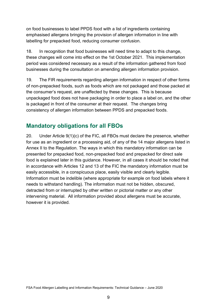on food businesses to label PPDS food with a list of ingredients containing emphasised allergens bringing the provision of allergen information in line with labelling for prepacked food, reducing consumer confusion.

18. In recognition that food businesses will need time to adapt to this change, these changes will come into effect on the 1st October 2021. This implementation period was considered necessary as a result of the information gathered from food businesses during the consultation on amending allergen information provision.

19. The FIR requirements regarding allergen information in respect of other forms of non-prepacked foods, such as foods which are not packaged and those packed at the consumer's request, are unaffected by these changes. This is because unpackaged food does not have packaging in order to place a label on, and the other is packaged in front of the consumer at their request. The changes bring consistency of allergen information between PPDS and prepacked foods.

## <span id="page-8-0"></span>**Mandatory obligations for all FBOs**

20. Under Article 9(1)(c) of the FIC, all FBOs must declare the presence, whether for use as an ingredient or a processing aid, of any of the 14 major allergens listed in Annex II to the Regulation. The ways in which this mandatory information can be presented for prepacked food, non-prepacked food and prepacked for direct sale food is explained later in this guidance. However, in all cases it should be noted that in accordance with Articles 12 and 13 of the FIC the mandatory information must be easily accessible, in a conspicuous place, easily visible and clearly legible. Information must be indelible (where appropriate for example on food labels where it needs to withstand handling). The information must not be hidden, obscured, detracted from or interrupted by other written or pictorial matter or any other intervening material. All information provided about allergens must be accurate, however it is provided.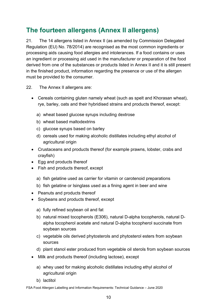# <span id="page-9-0"></span>**The fourteen allergens (Annex II allergens)**

21. The 14 allergens listed in Annex II (as amended by Commission Delegated Regulation (EU) No. 78/2014) are recognised as the most common ingredients or processing aids causing food allergies and intolerances. If a food contains or uses an ingredient or processing aid used in the manufacturer or preparation of the food derived from one of the substances or products listed in Annex II and it is still present in the finished product, information regarding the presence or use of the allergen must be provided to the consumer.

22. The Annex II allergens are:

- Cereals containing gluten namely wheat (such as spelt and Khorasan wheat), rye, barley, oats and their hybridised strains and products thereof, except:
	- a) wheat based glucose syrups including dextrose
	- b) wheat based maltodextrins
	- c) glucose syrups based on barley
	- d) cereals used for making alcoholic distillates including ethyl alcohol of agricultural origin
- Crustaceans and products thereof (for example prawns, lobster, crabs and crayfish)
- Egg and products thereof
- Fish and products thereof, except
	- a) fish gelatine used as carrier for vitamin or carotenoid preparations
	- b) fish gelatine or Isinglass used as a fining agent in beer and wine
- Peanuts and products thereof
- Soybeans and products thereof, except
	- a) fully refined soybean oil and fat
	- b) natural mixed tocopherols (E306), natural D-alpha tocopherols, natural Dalpha tocopherol acetate and natural D-alpha tocopherol succinate from soybean sources
	- c) vegetable oils derived phytosterols and phytosterol esters from soybean sources
	- d) plant stanol ester produced from vegetable oil sterols from soybean sources
- Milk and products thereof (including lactose), except
	- a) whey used for making alcoholic distillates including ethyl alcohol of agricultural origin
	- b) lactitol

FSA Food Allergen Labelling and Information Requirements: Technical Guidance – June 2020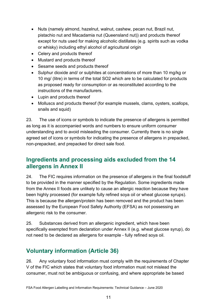- Nuts (namely almond, hazelnut, walnut, cashew, pecan nut, Brazil nut, pistachio nut and Macadamia nut (Queensland nut)) and products thereof except for nuts used for making alcoholic distillates (e.g. spirits such as vodka or whisky) including ethyl alcohol of agricultural origin
- Celery and products thereof
- Mustard and products thereof
- Sesame seeds and products thereof
- Sulphur dioxide and/ or sulphites at concentrations of more than 10 mg/kg or 10 mg/ (litre) in terms of the total SO2 which are to be calculated for products as proposed ready for consumption or as reconstituted according to the instructions of the manufacturers.
- Lupin and products thereof
- Molluscs and products thereof (for example mussels, clams, oysters, scallops, snails and squid)

23. The use of icons or symbols to indicate the presence of allergens is permitted as long as it is accompanied words and numbers to ensure uniform consumer understanding and to avoid misleading the consumer. Currently there is no single agreed set of icons or symbols for indicating the presence of allergens in prepacked, non-prepacked, and prepacked for direct sale food.

## <span id="page-10-0"></span>**Ingredients and processing aids excluded from the 14 allergens in Annex II**

24. The FIC requires information on the presence of allergens in the final foodstuff to be provided in the manner specified by the Regulation. Some ingredients made from the Annex II foods are unlikely to cause an allergic reaction because they have been highly processed (for example fully refined soya oil or wheat glucose syrups). This is because the allergen/protein has been removed and the product has been assessed by the European Food Safety Authority (EFSA) as not possessing an allergenic risk to the consumer.

25. Substances derived from an allergenic ingredient, which have been specifically exempted from declaration under Annex II (e.g. wheat glucose syrup), do not need to be declared as allergens for example - fully refined soya oil.

## <span id="page-10-1"></span>**Voluntary information (Article 36)**

26. Any voluntary food information must comply with the requirements of Chapter V of the FIC which states that voluntary food information must not mislead the consumer, must not be ambiguous or confusing, and where appropriate be based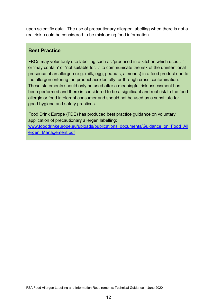upon scientific data. The use of precautionary allergen labelling when there is not a real risk, could be considered to be misleading food information.

#### **Best Practice**

FBOs may voluntarily use labelling such as 'produced in a kitchen which uses…' or 'may contain' or 'not suitable for…' to communicate the risk of the unintentional presence of an allergen (e.g. milk, egg, peanuts, almonds) in a food product due to the allergen entering the product accidentally, or through cross contamination. These statements should only be used after a meaningful risk assessment has been performed and there is considered to be a significant and real risk to the food allergic or food intolerant consumer and should not be used as a substitute for good hygiene and safety practices.

Food Drink Europe (FDE) has produced best practice guidance on voluntary application of precautionary allergen labelling: [www.fooddrinkeurope.eu/uploads/publications\\_documents/Guidance\\_on\\_Food\\_All](http://www.fooddrinkeurope.eu/uploads/publications_documents/Guidance_on_Food_Allergen_Management.pdf) [ergen\\_Management.pdf](http://www.fooddrinkeurope.eu/uploads/publications_documents/Guidance_on_Food_Allergen_Management.pdf)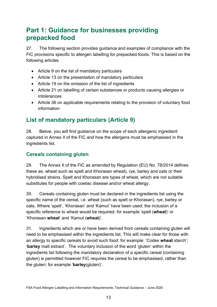# <span id="page-12-0"></span>**Part 1: Guidance for businesses providing prepacked food**

27. The following section provides guidance and examples of compliance with the FIC provisions specific to allergen labelling for prepacked foods. This is based on the following articles:

- Article 9 on the list of mandatory particulars
- Article 13 on the presentation of mandatory particulars
- Article 19 on the omission of the list of ingredients
- Article 21 on labelling of certain substances or products causing allergies or intolerances
- Article 36 on applicable requirements relating to the provision of voluntary food information

## **List of mandatory particulars (Article 9)**

28. Below, you will find guidance on the scope of each allergenic ingredient captured in Annex II of the FIC and how the allergens must be emphasised in the ingredients list.

#### **Cereals containing gluten**

29. The Annex II of the FIC as amended by Regulation (EU) No. 78/2014 defines these as: wheat such as spelt and Khorasan wheat), rye, barley and oats or their hybridised strains. Spelt and Khorasan are types of wheat, which are not suitable substitutes for people with coeliac disease and/or wheat allergy.

30. Cereals containing gluten must be declared in the ingredients list using the specific name of the cereal, i.e. wheat (such as spelt or Khorasan), rye, barley or oats. Where 'spelt', 'Khorasan' and 'Kamut' have been used; the inclusion of a specific reference to wheat would be required; for example 'spelt (**wheat**)' or 'Khorasan **wheat**' and 'Kamut (**wheat**)'.

31. Ingredients which are or have been derived from cereals containing gluten will need to be emphasised within the ingredients list. This will make clear for those with an allergy to specific cereals to avoid such food; for example: 'Codex **wheat** starch'; '**barley** malt extract'. The voluntary inclusion of the word 'gluten' within the ingredients list following the mandatory declaration of a specific cereal (containing gluten) is permitted however FIC requires the cereal to be emphasised, rather than the gluten; for example '**barley**(gluten)'.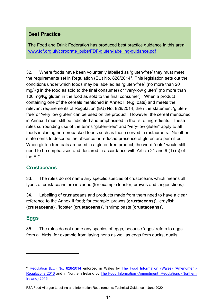## **Best Practice**

The Food and Drink Federation has produced best practice guidance in this area: [www.fdf.org.uk/corporate\\_pubs/FDF-gluten-labelling-guidance.pdf](http://www.fdf.org.uk/corporate_pubs/FDF-gluten-labelling-guidance.pdf)

32. Where foods have been voluntarily labelled as 'gluten-free' they must meet the requirements set in Regulation (EU) No. 828/2014[4](#page-13-0). This legislation sets out the conditions under which foods may be labelled as "gluten-free" (no more than 20 mg/Kg in the food as sold to the final consumer) or "very-low gluten" (no more than 100 mg/Kg gluten in the food as sold to the final consumer). When a product containing one of the cereals mentioned in Annex II (e.g. oats) and meets the relevant requirements of Regulation (EU) No. 828/2014, then the statement 'glutenfree' or 'very low gluten' can be used on the product. However, the cereal mentioned in Annex II must still be indicated and emphasised in the list of ingredients. These rules surrounding use of the terms "gluten-free" and "very-low gluten" apply to all foods including non-prepacked foods such as those served in restaurants. No other statements to describe the absence or reduced presence of gluten are permitted. When gluten free oats are used in a gluten free product, the word "oats" would still need to be emphasised and declared in accordance with Article 21 and 9 (1) (c) of the FIC.

#### **Crustaceans**

33. The rules do not name any specific species of crustaceans which means all types of crustaceans are included (for example lobster, prawns and langoustines).

34. Labelling of crustaceans and products made from them need to have a clear reference to the Annex II food; for example 'prawns (**crustaceans**)', 'crayfish (**crustaceans**)', 'lobster (**crustaceans**)', 'shrimp paste (**crustaceans**)'.

#### **Eggs**

35. The rules do not name any species of eggs, because 'eggs' refers to eggs from all birds, for example from laying hens as well as eggs from ducks, quails,

<span id="page-13-0"></span><sup>&</sup>lt;sup>4</sup> [Regulation \(EU\) No. 828/2014](http://www.legislation.gov.uk/eur/2014/828/contents) enforced in Wales by **[The Food Information \(Wales\)](http://www.legislation.gov.uk/wsi/2016/664/pdfs/wsi_20160664_mi.pdf) (Amendment)** [Regulations 2016](http://www.legislation.gov.uk/wsi/2016/664/pdfs/wsi_20160664_mi.pdf) and in Northern Ireland by [The Food Information \(Amendment\) Regulations \(Northern](http://www.legislation.gov.uk/nisr/2016/249/pdfs/nisr_20160249_en.pdf)  [Ireland\) 2016](http://www.legislation.gov.uk/nisr/2016/249/pdfs/nisr_20160249_en.pdf)

FSA Food Allergen Labelling and Information Requirements: Technical Guidance – June 2020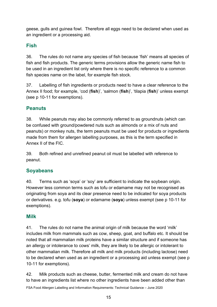geese, gulls and guinea fowl. Therefore all eggs need to be declared when used as an ingredient or a processing aid.

### **Fish**

36. The rules do not name any species of fish because 'fish' means all species of fish and fish products. The generic terms provisions allow the generic name fish to be used in an ingredient list only where there is no specific reference to a common fish species name on the label, for example fish stock.

37. Labelling of fish ingredients or products need to have a clear reference to the Annex II food; for example, 'cod (**fish**)', 'salmon (**fish**)', 'tilapia (**fish**)' unless exempt (see p 10-11 for exemptions).

#### **Peanuts**

38. While peanuts may also be commonly referred to as groundnuts (which can be confused with ground/powdered nuts such as almonds or a mix of nuts and peanuts) or monkey nuts, the term peanuts must be used for products or ingredients made from them for allergen labelling purposes, as this is the term specified in Annex II of the FIC.

39. Both refined and unrefined peanut oil must be labelled with reference to peanut.

#### **Soyabeans**

40. Terms such as 'soya' or 'soy' are sufficient to indicate the soybean origin. However less common terms such as tofu or edamame may not be recognised as originating from soya and its clear presence need to be indicated for soya products or derivatives. e.g. tofu (**soya**) or edamame (**soya**) unless exempt (see p 10-11 for exemptions).

#### **Milk**

41. The rules do not name the animal origin of milk because the word 'milk' includes milk from mammals such as cow, sheep, goat, and buffalo etc. It should be noted that all mammalian milk proteins have a similar structure and if someone has an allergy or intolerance to cows' milk, they are likely to be allergic or intolerant to other mammalian milk. Therefore all milk and milk products (including lactose) need to be declared when used as an ingredient or a processing aid unless exempt (see p 10-11 for exemptions).

FSA Food Allergen Labelling and Information Requirements: Technical Guidance – June 2020 42. Milk products such as cheese, butter, fermented milk and cream do not have to have an ingredients list where no other ingredients have been added other than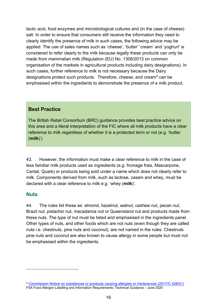lactic acid, food enzymes and microbiological cultures and (in the case of cheese) salt. In order to ensure that consumers still receive the information they need to clearly identify the presence of milk in such cases, the following advice may be applied. The use of sales names such as 'cheese', 'butter' 'cream' and 'yoghurt' is considered to refer clearly to the milk because legally these products can only be made from mammalian milk (Regulation (EU) No. 1308/2013 on common organisation of the markets in agricultural products including dairy designations). In such cases, further reference to milk is not necessary because the Dairy designations protect such products. Therefore, cheese, and cream<sup>[5](#page-15-0)</sup> can be emphasised within the ingredients to demonstrate the presence of a milk product.

#### **Best Practice**

The British Retail Consortium (BRC) guidance provides best practice advice on this area and a literal interpretation of the FIC where all milk products have a clear reference to milk regardless of whether it is a protected term or not (e.g. 'butter (**milk**)')

43. However, the information must make a clear reference to milk in the case of less familiar milk products used as ingredients (e.g. fromage frais, Mascarpone, Cantal, Quark) or products being sold under a name which does not clearly refer to milk. Components derived from milk, such as lactose, casein and whey, must be declared with a clear reference to milk e.g. 'whey (**milk**)'.

#### **Nuts**

44. The rules list these as: almond, hazelnut, walnut, cashew nut, pecan nut, Brazil nut, pistachio nut, macadamia nut or Queensland nut and products made from these nuts. The type of nut must be listed and emphasised in the ingredients panel. Other types of nuts, and other foods which are not nuts (even though they are called nuts i.e. chestnuts, pine nuts and coconut), are not named in the rules. Chestnuts pine nuts and coconut are also known to cause allergy in some people but must not be emphasised within the ingredients.

<span id="page-15-0"></span>FSA Food Allergen Labelling and Information Requirements: Technical Guidance – June 2020 <sup>5</sup> Commission Notice [on substances or products causing allergies or intolerances](https://eur-lex.europa.eu/legal-content/EN/TXT/PDF/?uri=CELEX:52017XC1213(01)&from=EN) (2017/C 428/01)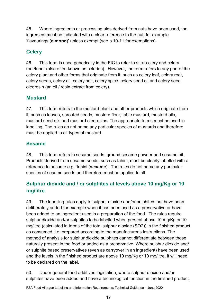45. Where ingredients or processing aids derived from nuts have been used, the ingredient must be indicated with a clear reference to the nut; for example 'flavourings (**almond**)' unless exempt (see p 10-11 for exemptions).

## **Celery**

46. This term is used generically in the FIC to refer to stick celery and celery root/tuber (also often known as celeriac). However, the term refers to any part of the celery plant and other forms that originate from it, such as celery leaf, celery root, celery seeds, celery oil, celery salt, celery spice, celery seed oil and celery seed oleoresin (an oil / resin extract from celery).

### **Mustard**

47. This term refers to the mustard plant and other products which originate from it, such as leaves, sprouted seeds, mustard flour, table mustard, mustard oils, mustard seed oils and mustard oleoresins. The appropriate terms must be used in labelling. The rules do not name any particular species of mustards and therefore must be applied to all types of mustard.

#### **Sesame**

48. This term refers to sesame seeds, ground sesame powder and sesame oil. Products derived from sesame seeds, such as tahini, must be clearly labelled with a reference to sesame e.g. 'tahini (**sesame**)'. The rules do not name any particular species of sesame seeds and therefore must be applied to all.

## **Sulphur dioxide and / or sulphites at levels above 10 mg/Kg or 10 mg/litre**

49. The labelling rules apply to sulphur dioxide and/or sulphites that have been deliberately added for example when it has been used as a preservative or have been added to an ingredient used in a preparation of the food. The rules require sulphur dioxide and/or sulphites to be labelled when present above 10 mg/Kg or 10 mg/litre (calculated in terms of the total sulphur dioxide (SO2)) in the finished product as consumed, i.e. prepared according to the manufacturer's instructions. The method of analysis for sulphur dioxide sulphites cannot differentiate between those naturally present in the food or added as a preservative. Where sulphur dioxide and/ or sulphite based preservatives (even as carryover in an ingredient) have been used and the levels in the finished product are above 10 mg/Kg or 10 mg/litre, it will need to be declared on the label.

50. Under general food additives legislation, where sulphur dioxide and/or sulphites have been added and have a technological function in the finished product,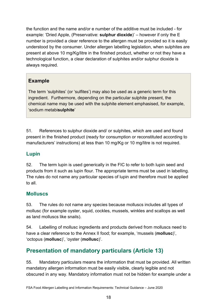the function and the name and/or e number of the additive must be included - for example: 'Dried Apple, (Preservative: **sulphur dioxide**)' – however if only the E number is provided a clear reference to the allergen must be provided so it is easily understood by the consumer. Under allergen labelling legislation, when sulphites are present at above 10 mg/Kg/litre in the finished product, whether or not they have a technological function, a clear declaration of sulphites and/or sulphur dioxide is always required.

## **Example**

The term 'sulphites' (or 'sulfites') may also be used as a generic term for this ingredient. Furthermore, depending on the particular sulphite present, the chemical name may be used with the sulphite element emphasised, for example, 'sodium metabi**sulphite**'

51. References to sulphur dioxide and/ or sulphites, which are used and found present in the finished product (ready for consumption or reconstituted according to manufacturers' instructions) at less than 10 mg/Kg or 10 mg/litre is not required.

## **Lupin**

52. The term lupin is used generically in the FIC to refer to both lupin seed and products from it such as lupin flour. The appropriate terms must be used in labelling. The rules do not name any particular species of lupin and therefore must be applied to all.

#### **Molluscs**

53. The rules do not name any species because molluscs includes all types of mollusc (for example oyster, squid, cockles, mussels, winkles and scallops as well as land molluscs like snails).

54. Labelling of mollusc ingredients and products derived from molluscs need to have a clear reference to the Annex II food; for example, 'mussels (**mollusc**)', 'octopus (**mollusc**)', 'oyster (**mollusc**)'.

## **Presentation of mandatory particulars (Article 13)**

55. Mandatory particulars means the information that must be provided. All written mandatory allergen information must be easily visible, clearly legible and not obscured in any way. Mandatory information must not be hidden for example under a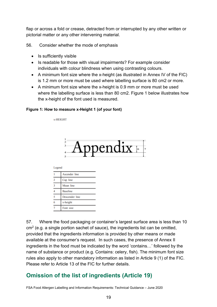flap or across a fold or crease, detracted from or interrupted by any other written or pictorial matter or any other intervening material.

56. Consider whether the mode of emphasis

- Is sufficiently visible
- Is readable for those with visual impairments? For example consider individuals with colour blindness when using contrasting colours.
- A minimum font size where the x-height (as illustrated in Annex IV of the FIC) is 1.2 mm or more must be used where labelling surface is 80 cm2 or more.
- A minimum font size where the x-height is 0.9 mm or more must be used where the labelling surface is less than 80 cm2. Figure 1 below illustrates how the x-height of the font used is measured.

#### **Figure 1: How to measure x-Height 1 (of your font)**

**v.HEIGHT** 



Legend

|   | Ascender line   |  |  |  |  |  |  |
|---|-----------------|--|--|--|--|--|--|
| 2 | Cap line        |  |  |  |  |  |  |
| 3 | Mean line       |  |  |  |  |  |  |
| 4 | <b>Baseline</b> |  |  |  |  |  |  |
| 5 | Descender line  |  |  |  |  |  |  |
| 6 | x-height        |  |  |  |  |  |  |
|   | Font size       |  |  |  |  |  |  |

57. Where the food packaging or container's largest surface area is less than 10  $cm<sup>2</sup>$  (e.g. a single portion sachet of sauce), the ingredients list can be omitted, provided that the ingredients information is provided by other means or made available at the consumer's request. In such cases, the presence of Annex II ingredients in the food must be indicated by the word 'contains…' followed by the name of substance or product (e.g. Contains: celery, fish). The minimum font size rules also apply to other mandatory information as listed in Article 9 (1) of the FIC. Please refer to Article 13 of the FIC for further details.

## **Omission of the list of ingredients (Article 19)**

FSA Food Allergen Labelling and Information Requirements: Technical Guidance – June 2020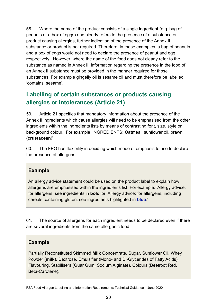58. Where the name of the product consists of a single ingredient (e.g. bag of peanuts or a box of eggs) and clearly refers to the presence of a substance or product causing allergies, further indication of the presence of the Annex II substance or product is not required. Therefore, in these examples, a bag of peanuts and a box of eggs would not need to declare the presence of peanut and egg respectively. However, where the name of the food does not clearly refer to the substance as named in Annex II, information regarding the presence in the food of an Annex II substance must be provided in the manner required for those substances. For example gingelly oil is sesame oil and must therefore be labelled 'contains: sesame'.

## **Labelling of certain substances or products causing allergies or intolerances (Article 21)**

59. Article 21 specifies that mandatory information about the presence of the Annex II ingredients which cause allergies will need to be emphasised from the other ingredients within the ingredients lists by means of contrasting font, size, style or background colour. For example 'INGREDIENTS: **Oat**meal, sunflower oil, prawn (**crustacean**)'

60. The FBO has flexibility in deciding which mode of emphasis to use to declare the presence of allergens.

#### **Example**

An allergy advice statement could be used on the product label to explain how allergens are emphasised within the ingredients list. For example: 'Allergy advice: for allergens, see ingredients in **bold**' or 'Allergy advice: for allergens, including cereals containing gluten, see ingredients highlighted in **blue**.'

61. The source of allergens for each ingredient needs to be declared even if there are several ingredients from the same allergenic food.

#### **Example**

Partially Reconstituted Skimmed **Milk** Concentrate, Sugar, Sunflower Oil, Whey Powder (**milk**), Dextrose, Emulsifier (Mono- and Di-Glycerides of Fatty Acids), Flavouring, Stabilisers (Guar Gum, Sodium Alginate), Colours (Beetroot Red, Beta-Carotene).

FSA Food Allergen Labelling and Information Requirements: Technical Guidance – June 2020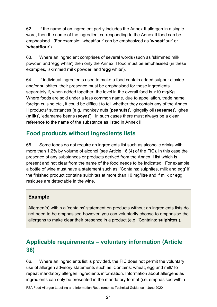62. If the name of an ingredient partly includes the Annex II allergen in a single word, then the name of the ingredient corresponding to the Annex II food can be emphasised. (For example: 'wheatflour' can be emphasized as '**wheat**flour' or '**wheatflour**').

63. Where an ingredient comprises of several words (such as 'skimmed milk powder' and 'egg white') then only the Annex II food must be emphasised (in these examples, 'skimmed **milk** powder' and '**egg** white').

64. If individual ingredients used to make a food contain added sulphur dioxide and/or sulphites, their presence must be emphasised for those ingredients separately if, when added together, the level in the overall food is >10 mg/Kg. Where foods are sold under a less common name, due to appellation, trade name, foreign cuisine etc., it could be difficult to tell whether they contain any of the Annex II products/ substances (e.g. 'monkey nuts (**peanuts**)', 'gingelly oil (**sesame**)', 'ghee (**milk**)', 'edamame beans (**soya**)'). In such cases there must always be a clear reference to the name of the substance as listed in Annex II.

## **Food products without ingredients lists**

65. Some foods do not require an ingredients list such as alcoholic drinks with more than 1.2% by volume of alcohol (see Article 16 (4) of the FIC). In this case the presence of any substances or products derived from the Annex II list which is present and not clear from the name of the food needs to be indicated. For example, a bottle of wine must have a statement such as: 'Contains: sulphites, milk and egg' if the finished product contains sulphites at more than 10 mg/litre and if milk or egg residues are detectable in the wine.

#### **Example**

Allergen(s) within a 'contains' statement on products without an ingredients lists do not need to be emphasised however, you can voluntarily choose to emphasise the allergens to make clear their presence in a product (e.g. 'Contains: **sulphites**').

## **Applicable requirements – voluntary information (Article 36)**

66. Where an ingredients list is provided, the FIC does not permit the voluntary use of allergen advisory statements such as 'Contains: wheat, egg and milk' to repeat mandatory allergen ingredients information. Information about allergens as ingredients can only be presented in the mandatory format (i.e. emphasised within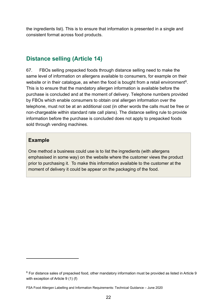the ingredients list). This is to ensure that information is presented in a single and consistent format across food products.

## **Distance selling (Article 14)**

67. FBOs selling prepacked foods through distance selling need to make the same level of information on allergens available to consumers, for example on their website or in their catalogue, as when the food is bought from a retail environment<sup>6</sup>. This is to ensure that the mandatory allergen information is available before the purchase is concluded and at the moment of delivery. Telephone numbers provided by FBOs which enable consumers to obtain oral allergen information over the telephone, must not be at an additional cost (in other words the calls must be free or non-chargeable within standard rate call plans). The distance selling rule to provide information before the purchase is concluded does not apply to prepacked foods sold through vending machines.

#### **Example**

One method a business could use is to list the ingredients (with allergens emphasised in some way) on the website where the customer views the product prior to purchasing it. To make this information available to the customer at the moment of delivery it could be appear on the packaging of the food.

<span id="page-21-0"></span> $6$  For distance sales of prepacked food, other mandatory information must be provided as listed in Article 9 with exception of Article 9 (1) (f)

FSA Food Allergen Labelling and Information Requirements: Technical Guidance – June 2020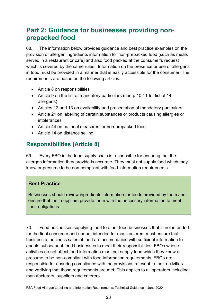## <span id="page-22-0"></span>**Part 2: Guidance for businesses providing nonprepacked food**

68. The information below provides guidance and best practice examples on the provision of allergen ingredients information for non-prepacked food (such as meals served in a restaurant or café) and also food packed at the consumer's request which is covered by the same rules. Information on the presence or use of allergens in food must be provided in a manner that is easily accessible for the consumer. The requirements are based on the following articles:

- Article 8 on responsibilities
- Article 9 on the list of mandatory particulars (see p 10-11 for list of 14 allergens)
- Articles 12 and 13 on availability and presentation of mandatory particulars
- Article 21 on labelling of certain substances or products causing allergies or intolerances
- Article 44 on national measures for non-prepacked food
- Article 14 on distance selling

## **Responsibilities (Article 8)**

69. Every FBO in the food supply chain is responsible for ensuring that the allergen information they provide is accurate. They must not supply food which they know or presume to be non-compliant with food information requirements.

#### **Best Practice**

Businesses should review ingredients information for foods provided by them and ensure that their suppliers provide them with the necessary information to meet their obligations.

70. Food businesses supplying food to other food businesses that is not intended for the final consumer and / or not intended for mass caterers must ensure that business to business sales of food are accompanied with sufficient information to enable subsequent food businesses to meet their responsibilities. FBOs whose activities do not affect food information must not supply food which they know or presume to be non-compliant with food information requirements. FBOs are responsible for ensuring compliance with the provisions relevant to their activities and verifying that those requirements are met. This applies to all operators including: manufacturers, suppliers and caterers.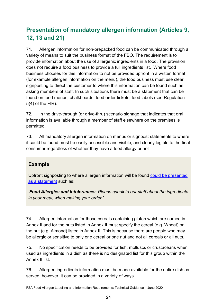## **Presentation of mandatory allergen information (Articles 9, 12, 13 and 21)**

71. Allergen information for non-prepacked food can be communicated through a variety of means to suit the business format of the FBO. The requirement is to provide information about the use of allergenic ingredients in a food. The provision does not require a food business to provide a full ingredients list. Where food business chooses for this information to not be provided upfront in a written format (for example allergen information on the menu), the food business must use clear signposting to direct the customer to where this information can be found such as asking members of staff. In such situations there must be a statement that can be found on food menus, chalkboards, food order tickets, food labels (see Regulation 5(4) of the FIR).

72. In the drive-through (or drive-thru) scenario signage that indicates that oral information is available through a member of staff elsewhere on the premises is permitted.

73. All mandatory allergen information on menus or signpost statements to where it could be found must be easily accessible and visible, and clearly legible to the final consumer regardless of whether they have a food allergy or not

#### **Example**

Upfront signposting to where allergen information will be found [could be presented](https://www.food.gov.uk/sites/default/files/media/document/allergen-signage.pdf)  [as a statement](https://www.food.gov.uk/sites/default/files/media/document/allergen-signage.pdf) such as:

*'Food Allergies and Intolerances: Please speak to our staff about the ingredients in your meal, when making your order.'*

74. Allergen information for those cereals containing gluten which are named in Annex II and for the nuts listed in Annex II must specify the cereal (e.g. Wheat) or the nut (e.g. Almond) listed in Annex II. This is because there are people who may be allergic or sensitive to only one cereal or one nut and not all cereals or all nuts.

75. No specification needs to be provided for fish, molluscs or crustaceans when used as ingredients in a dish as there is no designated list for this group within the Annex II list.

76. Allergen ingredients information must be made available for the entire dish as served, however, it can be provided in a variety of ways.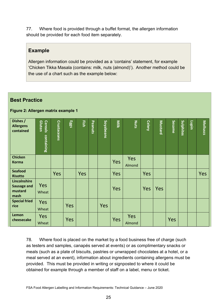77. Where food is provided through a buffet format, the allergen information should be provided for each food item separately.

#### **Example**

Allergen information could be provided as a 'contains' statement, for example 'Chicken Tikka Masala (contains: milk, nuts (almond)'). Another method could be the use of a chart such as the example below:

#### **Best Practice**

#### **Figure 2: Allergen matrix example 1**

| Dishes /<br><b>Allergens</b><br>contained                    | <b>Gluten</b><br>Cereals<br>containing | <b>Crustaceans</b> | Eggs | Fish | Peanuts | Soyabeans | Milk | Nuts          | <b>Celery</b> | <b>Mustard</b> | <b>Sesame</b> | Sulphites | Lupin | Molluscs |
|--------------------------------------------------------------|----------------------------------------|--------------------|------|------|---------|-----------|------|---------------|---------------|----------------|---------------|-----------|-------|----------|
| <b>Chicken</b><br><b>Korma</b>                               |                                        |                    |      |      |         |           | Yes  | Yes<br>Almond |               |                |               |           |       |          |
| <b>Seafood</b><br><b>Risotto</b>                             |                                        | <b>Yes</b>         |      | Yes  |         |           | Yes  |               | Yes           |                |               |           |       | Yes      |
| <b>Lincolnshire</b><br><b>Sausage and</b><br>mustard<br>mash | <b>Yes</b><br>Wheat                    |                    |      |      |         |           | Yes  |               | Yes           | Yes            |               |           |       |          |
| <b>Special fried</b><br>rice                                 | Yes<br>Wheat                           |                    | Yes  |      |         | Yes       |      |               |               |                |               |           |       |          |
| Lemon<br>cheesecake                                          | <b>Yes</b><br>Wheat                    |                    | Yes  |      |         |           | Yes  | Yes<br>Almond |               |                | Yes           |           |       |          |

78. Where food is placed on the market by a food business free of charge (such as testers and samples, canapés served at events) or as complimentary snacks or meals (such as a plate of biscuits, pastries or unwrapped chocolates at a hotel, or a meal served at an event), information about ingredients containing allergens must be provided. This must be provided in writing or signposted to where it could be obtained for example through a member of staff on a label, menu or ticket.

FSA Food Allergen Labelling and Information Requirements: Technical Guidance – June 2020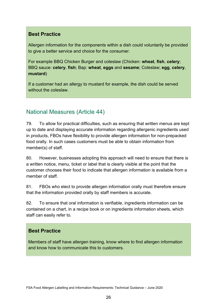#### **Best Practice**

Allergen information for the components within a dish could voluntarily be provided to give a better service and choice for the consumer.

For example BBQ Chicken Burger and coleslaw (Chicken: **wheat**, **fish**, **celery**; BBQ sauce: **celery**, **fish**; Bap: **wheat**, **eggs** and **sesame**; Coleslaw; **egg**, **celery**, **mustard**)

If a customer had an allergy to mustard for example, the dish could be served without the coleslaw.

## National Measures (Article 44)

79. To allow for practical difficulties, such as ensuring that written menus are kept up to date and displaying accurate information regarding allergenic ingredients used in products, FBOs have flexibility to provide allergen information for non-prepacked food orally. In such cases customers must be able to obtain information from member(s) of staff.

80. However, businesses adopting this approach will need to ensure that there is a written notice, menu, ticket or label that is clearly visible at the point that the customer chooses their food to indicate that allergen information is available from a member of staff.

81. FBOs who elect to provide allergen information orally must therefore ensure that the information provided orally by staff members is accurate.

82. To ensure that oral information is verifiable, ingredients information can be contained on a chart, in a recipe book or on ingredients information sheets, which staff can easily refer to.

## **Best Practice**

Members of staff have allergen training, know where to find allergen information and know how to communicate this to customers.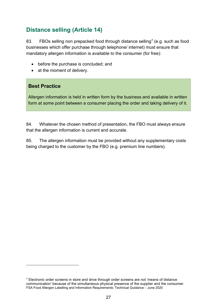## **Distance selling (Article 14)**

83. FBOs selling non prepacked food through distance selling<sup>[7](#page-26-0)</sup> (e.g. such as food businesses which offer purchase through telephone/ internet) must ensure that mandatory allergen information is available to the consumer (for free):

- before the purchase is concluded; and
- at the moment of delivery.

#### **Best Practice**

Allergen information is held in written form by the business and available in written form at some point between a consumer placing the order and taking delivery of it.

84. Whatever the chosen method of presentation, the FBO must always ensure that the allergen information is current and accurate.

85. The allergen information must be provided without any supplementary costs being charged to the customer by the FBO (e.g. premium line numbers).

<span id="page-26-0"></span>FSA Food Allergen Labelling and Information Requirements: Technical Guidance – June 2020  $7$  Electronic order screens in store and drive through order screens are not 'means of distance communication' because of the simultaneous physical presence of the supplier and the consumer.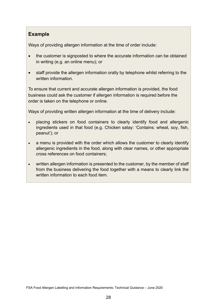#### **Example**

Ways of providing allergen information at the time of order include:

- the customer is signposted to where the accurate information can be obtained in writing (e.g. an online menu); or
- staff provide the allergen information orally by telephone whilst referring to the written information

To ensure that current and accurate allergen information is provided, the food business could ask the customer if allergen information is required before the order is taken on the telephone or online.

Ways of providing written allergen information at the time of delivery include:

- placing stickers on food containers to clearly identify food and allergenic ingredients used in that food (e.g. Chicken satay: 'Contains: wheat, soy, fish, peanut'); or
- a menu is provided with the order which allows the customer to clearly identify allergenic ingredients in the food, along with clear names, or other appropriate cross references on food containers;
- written allergen information is presented to the customer, by the member of staff from the business delivering the food together with a means to clearly link the written information to each food item.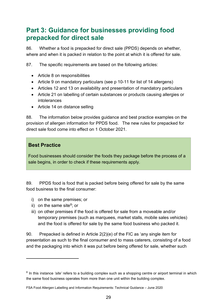## <span id="page-28-0"></span>**Part 3: Guidance for businesses providing food prepacked for direct sale**

86. Whether a food is prepacked for direct sale (PPDS) depends on whether, where and when it is packed in relation to the point at which it is offered for sale.

87. The specific requirements are based on the following articles:

- Article 8 on responsibilities
- Article 9 on mandatory particulars (see p 10-11 for list of 14 allergens)
- Articles 12 and 13 on availability and presentation of mandatory particulars
- Article 21 on labelling of certain substances or products causing allergies or intolerances
- Article 14 on distance selling

88. The information below provides guidance and best practice examples on the provision of allergen information for PPDS food. The new rules for prepacked for direct sale food come into effect on 1 October 2021.

#### **Best Practice**

Food businesses should consider the foods they package before the process of a sale begins, in order to check if these requirements apply.

89. PPDS food is food that is packed before being offered for sale by the same food business to the final consumer:

- i) on the same premises; or
- ii) on the same site<sup>[8](#page-28-1)</sup>; or
- iii) on other premises if the food is offered for sale from a moveable and/or temporary premises (such as marquees, market stalls, mobile sales vehicles) and the food is offered for sale by the same food business who packed it.

90. Prepacked is defined in Article 2(2)(e) of the FIC as 'any single item for presentation as such to the final consumer and to mass caterers, consisting of a food and the packaging into which it was put before being offered for sale, whether such

<span id="page-28-1"></span><sup>8</sup> In this instance *'site'* refers to a building complex such as a shopping centre or airport terminal in which the same food business operates from more than one unit within the building complex.

FSA Food Allergen Labelling and Information Requirements: Technical Guidance – June 2020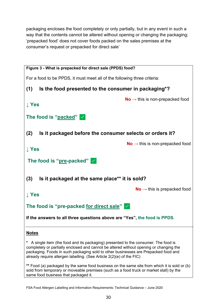packaging encloses the food completely or only partially, but in any event in such a way that the contents cannot be altered without opening or changing the packaging; 'prepacked food' does not cover foods packed on the sales premises at the consumer's request or prepacked for direct sale'



FSA Food Allergen Labelling and Information Requirements: Technical Guidance – June 2020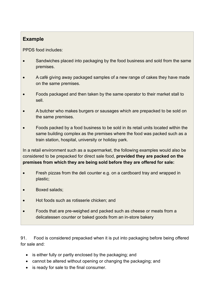### **Example**

PPDS food includes:

- Sandwiches placed into packaging by the food business and sold from the same premises.
- A café giving away packaged samples of a new range of cakes they have made on the same premises.
- Foods packaged and then taken by the same operator to their market stall to sell.
- A butcher who makes burgers or sausages which are prepacked to be sold on the same premises.
- Foods packed by a food business to be sold in its retail units located within the same building complex as the premises where the food was packed such as a train station, hospital, university or holiday park.

In a retail environment such as a supermarket, the following examples would also be considered to be prepacked for direct sale food, **provided they are packed on the premises from which they are being sold before they are offered for sale:**

- Fresh pizzas from the deli counter e.g. on a cardboard tray and wrapped in plastic;
- Boxed salads;
- Hot foods such as rotisserie chicken; and
- Foods that are pre-weighed and packed such as cheese or meats from a delicatessen counter or baked goods from an in-store bakery

91. Food is considered prepacked when it is put into packaging before being offered for sale and:

- is either fully or partly enclosed by the packaging; and
- cannot be altered without opening or changing the packaging; and
- is ready for sale to the final consumer.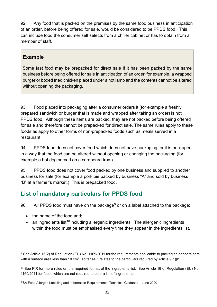92. Any food that is packed on the premises by the same food business in anticipation of an order, before being offered for sale, would be considered to be PPDS food. This can include food the consumer self selects from a chiller cabinet or has to obtain from a member of staff.

#### **Example**

Some fast food may be prepacked for direct sale if it has been packed by the same business before being offered for sale in anticipation of an order, for example, a wrapped burger or boxed fried chicken placed under a hot lamp and the contents cannot be altered without opening the packaging.

93. Food placed into packaging after a consumer orders it (for example a freshly prepared sandwich or burger that is made and wrapped after taking an order) is not PPDS food. Although these items are packed, they are not packed before being offered for sale and therefore cannot be prepacked for direct sale. The same rules apply to these foods as apply to other forms of non-prepacked foods such as meals served in a restaurant.

94. PPDS food does not cover food which does not have packaging, or it is packaged in a way that the food can be altered without opening or changing the packaging (for example a hot dog served on a cardboard tray.)

95. PPDS food does not cover food packed by one business and supplied to another business for sale (for example a pork pie packed by business "A" and sold by business "B" at a farmer's market.) This is prepacked food.

## **List of mandatory particulars for PPDS food**

[9](#page-31-0)6. All PPDS food must have on the package<sup>9</sup> or on a label attached to the package:

- the name of the food and:
- an ingredients list<sup>[10](#page-31-1)</sup> including allergenic ingredients. The allergenic ingredients within the food must be emphasised every time they appear in the ingredients list.

<span id="page-31-0"></span> $9$  See Article 16(2) of Regulation (EU) No. 1169/2011 for the reguirements applicable to packaging or containers with a surface area less than 10 cm<sup>2</sup>, so far as it relates to the particulars required by Article 9(1)(b).

<span id="page-31-1"></span><sup>10</sup> See FIR for more rules on the required format of the ingredients list. See Article 19 of Regulation (EU) No. 1169/2011 for foods which are not required to bear a list of ingredients.

FSA Food Allergen Labelling and Information Requirements: Technical Guidance – June 2020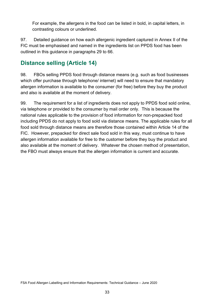For example, the allergens in the food can be listed in bold, in capital letters, in contrasting colours or underlined.

97. Detailed guidance on how each allergenic ingredient captured in Annex II of the FIC must be emphasised and named in the ingredients list on PPDS food has been outlined in this guidance in paragraphs 29 to 66.

## **Distance selling (Article 14)**

98. FBOs selling PPDS food through distance means (e.g. such as food businesses which offer purchase through telephone/ internet) will need to ensure that mandatory allergen information is available to the consumer (for free) before they buy the product and also is available at the moment of delivery.

99. The requirement for a list of ingredients does not apply to PPDS food sold online, via telephone or provided to the consumer by mail order only. This is because the national rules applicable to the provision of food information for non-prepacked food including PPDS do not apply to food sold via distance means. The applicable rules for all food sold through distance means are therefore those contained within Article 14 of the FIC. However, prepacked for direct sale food sold in this way, must continue to have allergen information available for free to the customer before they buy the product and also available at the moment of delivery. Whatever the chosen method of presentation, the FBO must always ensure that the allergen information is current and accurate.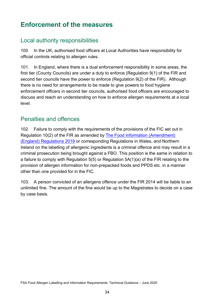# <span id="page-33-0"></span>**Enforcement of the measures**

## <span id="page-33-1"></span>Local authority responsibilities

100. In the UK, authorised food officers at Local Authorities have responsibility for official controls relating to allergen rules.

101. In England, where there is a dual enforcement responsibility in some areas, the first tier (County Councils) are under a duty to enforce (Regulation 9(1) of the FIR and second tier councils have the power to enforce (Regulation 9(2) of the FIR). Although there is no need for arrangements to be made to give powers to food hygiene enforcement officers in second tier councils, authorised food officers are encouraged to discuss and reach an understanding on how to enforce allergen requirements at a local level.

## <span id="page-33-2"></span>Penalties and offences

102. Failure to comply with the requirements of the provisions of the FIC set out in Regulation 10(2) of the FIR as amended by [The Food Information \(Amendment\)](http://www.legislation.gov.uk/uksi/2019/1218/made/data.pdf)  [\(England\) Regulations 2019](http://www.legislation.gov.uk/uksi/2019/1218/made/data.pdf) or corresponding Regulations in Wales, and Northern Ireland on the labelling of allergenic ingredients is a criminal offence and may result in a criminal prosecution being brought against a FBO. This position is the same in relation to a failure to comply with Regulation 5(5) or Regulation 5A(1)(a) of the FIR relating to the provision of allergen information for non-prepacked foods and PPDS etc. in a manner other than one provided for in the FIC.

103. A person convicted of an allergens offence under the FIR 2014 will be liable to an unlimited fine. The amount of the fine would be up to the Magistrates to decide on a case by case basis.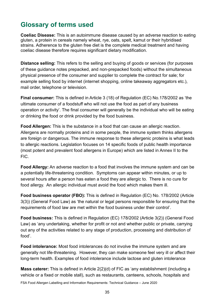## <span id="page-34-0"></span>**Glossary of terms used**

**Coeliac Disease:** This is an autoimmune disease caused by an adverse reaction to eating gluten, a protein in cereals namely wheat, rye, oats, spelt, kamut or their hybridised strains. Adherence to the gluten free diet is the complete medical treatment and having coeliac disease therefore requires significant dietary modification.

**Distance selling:** This refers to the selling and buying of goods or services (for purposes of these guidance notes prepacked, and non-prepacked foods) without the simultaneous physical presence of the consumer and supplier to complete the contract for sale; for example selling food by internet (internet shopping, online takeaway aggregators etc.), mail order, telephone or television.

**Final consumer:** This is defined in Article 3 (18) of Regulation (EC) No.178/2002 as 'the ultimate consumer of a foodstuff who will not use the food as part of any business operation or activity'. The final consumer will generally be the individual who will be eating or drinking the food or drink provided by the food business.

**Food Allergen:** This is the substance in a food that can cause an allergic reaction. Allergens are normally proteins and in some people, the immune system thinks allergens are foreign or dangerous. The immune response to these allergenic proteins is what leads to allergic reactions. Legislation focuses on 14 specific foods of public health importance (most potent and prevalent food allergens in Europe) which are listed in Annex II to the FIC.

**Food Allergy:** An adverse reaction to a food that involves the immune system and can be a potentially life-threatening condition. Symptoms can appear within minutes, or up to several hours after a person has eaten a food they are allergic to. There is no cure for food allergy. An allergic individual must avoid the food which makes them ill.

**Food business operator (FBO):** This is defined in Regulation (EC) No. 178/2002 (Article 3(3)) (General Food Law) as 'the natural or legal persons responsible for ensuring that the requirements of food law are met within the food business under their control'.

**Food business:** This is defined in Regulation (EC) 178/2002 (Article 3(2)) (General Food Law) as 'any undertaking, whether for profit or not and whether public or private, carrying out any of the activities related to any stage of production, processing and distribution of food'.

**Food intolerance:** Most food intolerances do not involve the immune system and are generally not life-threatening. However, they can make someone feel very ill or affect their long-term health. Examples of food intolerance include lactose and gluten intolerance

**Mass caterer:** This is defined in Article 2(2)(d) of FIC as 'any establishment (including a vehicle or a fixed or mobile stall), such as restaurants, canteens, schools, hospitals and

FSA Food Allergen Labelling and Information Requirements: Technical Guidance – June 2020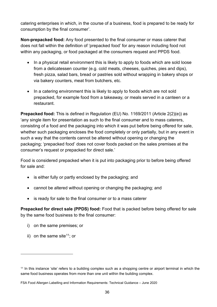catering enterprises in which, in the course of a business, food is prepared to be ready for consumption by the final consumer'.

**Non-prepacked food:** Any food presented to the final consumer or mass caterer that does not fall within the definition of 'prepacked food' for any reason including food not within any packaging, or food packaged at the consumers request and PPDS food.

- In a physical retail environment this is likely to apply to foods which are sold loose from a delicatessen counter (e.g. cold meats, cheeses, quiches, pies and dips), fresh pizza, salad bars, bread or pastries sold without wrapping in bakery shops or via bakery counters, meat from butchers, etc.
- In a catering environment this is likely to apply to foods which are not sold prepacked, for example food from a takeaway, or meals served in a canteen or a restaurant.

**Prepacked food:** This is defined in Regulation (EU) No. 1169/2011 (Article 2(2)(e)) as 'any single item for presentation as such to the final consumer and to mass caterers, consisting of a food and the packaging into which it was put before being offered for sale, whether such packaging encloses the food completely or only partially, but in any event in such a way that the contents cannot be altered without opening or changing the packaging; 'prepacked food' does not cover foods packed on the sales premises at the consumer's request or prepacked for direct sale.'

Food is considered prepacked when it is put into packaging prior to before being offered for sale and:

- is either fully or partly enclosed by the packaging; and
- cannot be altered without opening or changing the packaging; and
- is ready for sale to the final consumer or to a mass caterer

**Prepacked for direct sale (PPDS) food:** Food that is packed before being offered for sale by the same food business to the final consumer:

- i) on the same premises; or
- ii) on the same site<sup>[11](#page-35-0)</sup>; or

<span id="page-35-0"></span><sup>11</sup> In this instance 'site' refers to a building complex such as a shopping centre or airport terminal in which the same food business operates from more than one unit within the building complex.

FSA Food Allergen Labelling and Information Requirements: Technical Guidance – June 2020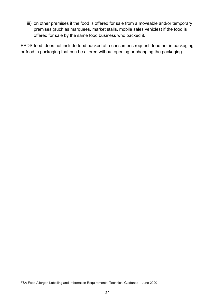iii) on other premises if the food is offered for sale from a moveable and/or temporary premises (such as marquees, market stalls, mobile sales vehicles) if the food is offered for sale by the same food business who packed it.

PPDS food does not include food packed at a consumer's request, food not in packaging or food in packaging that can be altered without opening or changing the packaging.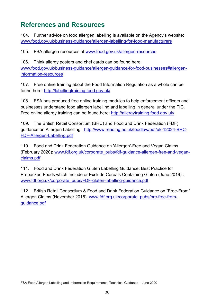# <span id="page-37-0"></span>**References and Resources**

104. Further advice on food allergen labelling is available on the Agency's website: [www.food.gov.uk/business-guidance/allergen-labelling-for-food-manufacturers](http://www.food.gov.uk/business-guidance/allergen-labelling-for-food-manufacturers)

105. FSA allergen resources at [www.food.gov.uk/allergen-resources](http://www.food.gov.uk/allergen-resources)

106. Think allergy posters and chef cards can be found here: [www.food.gov.uk/business-guidance/allergen-guidance-for-food-businesses#allergen](http://www.food.gov.uk/business-guidance/allergen-guidance-for-food-businesses#allergen-information-resources)[information-resources](http://www.food.gov.uk/business-guidance/allergen-guidance-for-food-businesses#allergen-information-resources) 

107. Free online training about the Food Information Regulation as a whole can be found here:<http://labellingtraining.food.gov.uk/>

108. FSA has produced free online training modules to help enforcement officers and businesses understand food allergen labelling and labelling in general under the FIC. Free online allergy training can be found here:<http://allergytraining.food.gov.uk/>

109. The British Retail Consortium (BRC) and Food and Drink Federation (FDF) guidance on Allergen Labelling: [http://www.reading.ac.uk/foodlaw/pdf/uk-12024-BRC-](http://www.reading.ac.uk/foodlaw/pdf/uk-12024-BRC-FDF-Allergen-Labelling.pdf)[FDF-Allergen-Labelling.pdf](http://www.reading.ac.uk/foodlaw/pdf/uk-12024-BRC-FDF-Allergen-Labelling.pdf)

110. Food and Drink Federation Guidance on 'Allergen'-Free and Vegan Claims (February 2020): [www.fdf.org.uk/corporate\\_pubs/fdf-guidance-allergen-free-and-vegan](http://www.fdf.org.uk/corporate_pubs/fdf-guidance-allergen-free-and-vegan-claims.pdf)[claims.pdf](http://www.fdf.org.uk/corporate_pubs/fdf-guidance-allergen-free-and-vegan-claims.pdf)

111. Food and Drink Federation Gluten Labelling Guidance: Best Practice for Prepacked Foods which Include or Exclude Cereals Containing Gluten (June 2019) : [www.fdf.org.uk/corporate\\_pubs/FDF-gluten-labelling-guidance.pdf](http://www.fdf.org.uk/corporate_pubs/FDF-gluten-labelling-guidance.pdf)

112. British Retail Consortium & Food and Drink Federation Guidance on "Free-From" Allergen Claims (November 2015): [www.fdf.org.uk/corporate\\_pubs/brc-free-from](http://www.fdf.org.uk/corporate_pubs/brc-free-from-guidance.pdf)[guidance.pdf](http://www.fdf.org.uk/corporate_pubs/brc-free-from-guidance.pdf)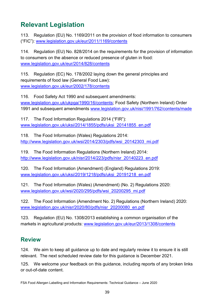# <span id="page-38-0"></span>**Relevant Legislation**

113. Regulation (EU) No. 1169/2011 on the provision of food information to consumers ("FIC"): [www.legislation.gov.uk/eur/2011/1169/contents](http://www.legislation.gov.uk/eur/2011/1169/contents)

114. Regulation (EU) No. 828/2014 on the requirements for the provision of information to consumers on the absence or reduced presence of gluten in food: [www.legislation.gov.uk/eur/2014/828/contents](http://www.legislation.gov.uk/eur/2014/828/contents)

115. Regulation (EC) No. 178/2002 laying down the general principles and requirements of food law (General Food Law): [www.legislation.gov.uk/eur/2002/178/contents](http://www.legislation.gov.uk/eur/2002/178/contents)

116. Food Safety Act 1990 and subsequent amendments: [www.legislation.gov.uk/ukpga/1990/16/contents;](http://www.legislation.gov.uk/ukpga/1990/16/contents) Food Safety (Northern Ireland) Order 1991 and subsequent amendments [www.legislation.gov.uk/nisi/1991/762/contents/made](http://www.legislation.gov.uk/nisi/1991/762/contents/made)

117. The Food Information Regulations 2014 ("FIR"): [www.legislation.gov.uk/uksi/2014/1855/pdfs/uksi\\_20141855\\_en.pdf](http://www.legislation.gov.uk/uksi/2014/1855/pdfs/uksi_20141855_en.pdf)

118. The Food Information (Wales) Regulations 2014: [http://www.legislation.gov.uk/wsi/2014/2303/pdfs/wsi\\_20142303\\_mi.pdf](http://www.legislation.gov.uk/wsi/2014/2303/pdfs/wsi_20142303_mi.pdf)

119. The Food Information Regulations (Northern Ireland) 2014: [http://www.legislation.gov.uk/nisr/2014/223/pdfs/nisr\\_20140223\\_en.pdf](http://www.legislation.gov.uk/nisr/2014/223/pdfs/nisr_20140223_en.pdf)

120. The Food Information (Amendment) (England) Regulations 2019: [www.legislation.gov.uk/uksi/2019/1218/pdfs/uksi\\_20191218\\_en.pdf](http://www.legislation.gov.uk/uksi/2019/1218/pdfs/uksi_20191218_en.pdf) 

121. The Food Information (Wales) (Amendment) (No. 2) Regulations 2020: [www.legislation.gov.uk/wsi/2020/295/pdfs/wsi\\_20200295\\_mi.pdf](http://www.legislation.gov.uk/wsi/2020/295/pdfs/wsi_20200295_mi.pdf)

122. The Food Information (Amendment No. 2) Regulations (Northern Ireland) 2020: [www.legislation.gov.uk/nisr/2020/80/pdfs/nisr\\_20200080\\_en.pdf](http://www.legislation.gov.uk/nisr/2020/80/pdfs/nisr_20200080_en.pdf)

123. Regulation (EU) No. 1308/2013 establishing a common organisation of the markets in agricultural products: [www.legislation.gov.uk/eur/2013/1308/contents](http://www.legislation.gov.uk/eur/2013/1308/contents)

## <span id="page-38-1"></span>**Review**

124. We aim to keep all guidance up to date and regularly review it to ensure it is still relevant. The next scheduled review date for this guidance is December 2021.

125. We welcome your feedback on this guidance, including reports of any broken links or out-of-date content.

FSA Food Allergen Labelling and Information Requirements: Technical Guidance – June 2020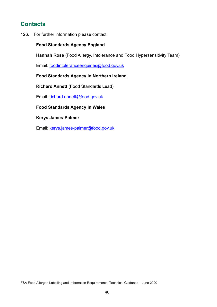## <span id="page-39-0"></span>**Contacts**

126. For further information please contact:

#### **Food Standards Agency England**

**Hannah Rose** (Food Allergy, Intolerance and Food Hypersensitivity Team)

Email: [foodintoleranceenquiries@food.gov.uk](mailto:foodintoleranceenquiries@food.gov.uk)

#### **Food Standards Agency in Northern Ireland**

**Richard Annett** (Food Standards Lead)

Email: [richard.annett@food.gov.uk](mailto:richard.annett@food.gov.uk)

#### **Food Standards Agency in Wales**

**Kerys James-Palmer**

Email: [kerys.james-palmer@food.gov.uk](mailto:kerys.james-palmer@food.gov.uk)